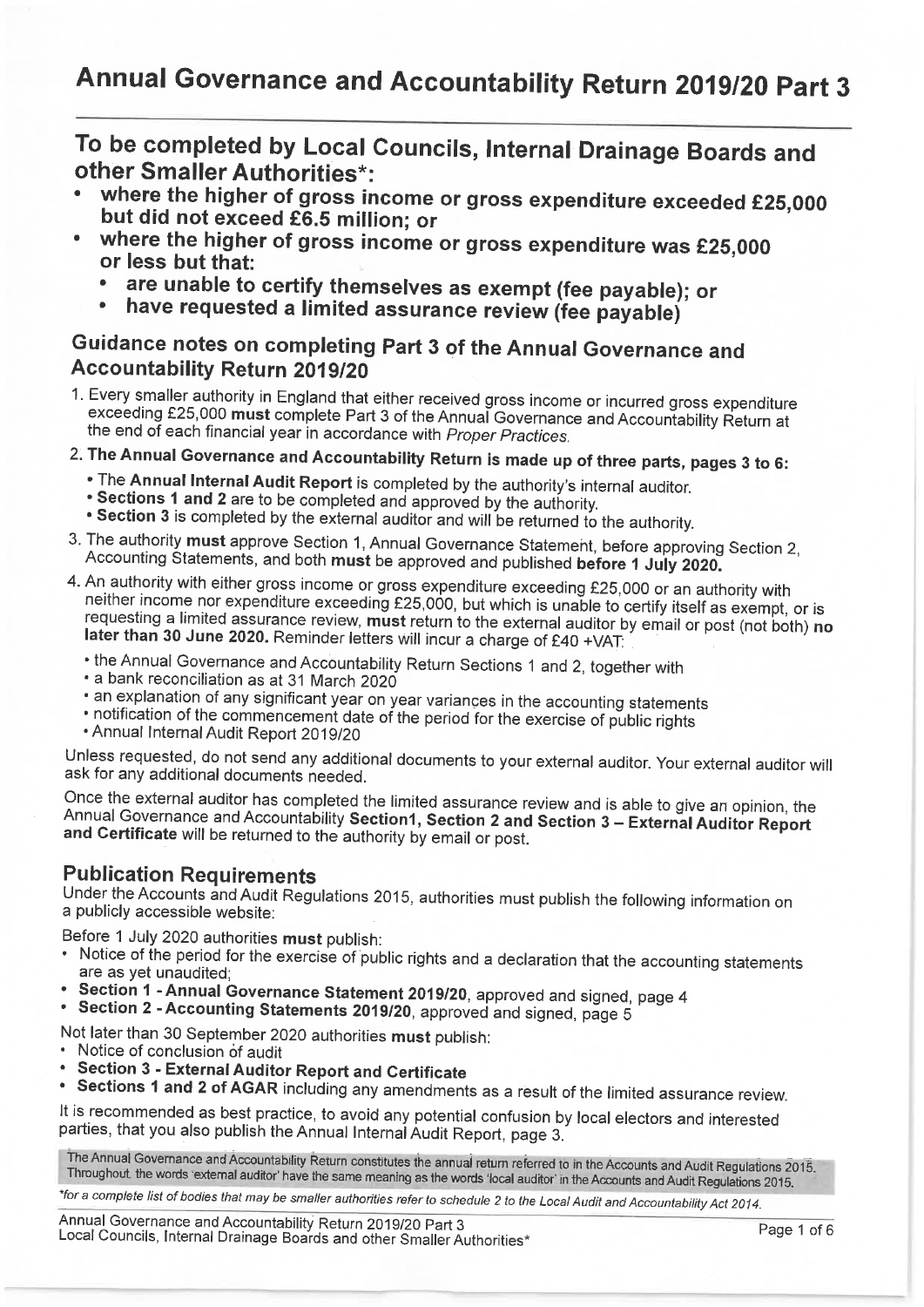To be completed by Local Councils, Internal Drainage Boards and other Smaller Authorities\*:

- where the higher of gross income or gross expenditure exceeded £25,000 but did not exceed £6.5 million; or
- where the higher of gross income or gross expenditure was £25,000 or less but that:
	- are unable to certify themselves as exempt (fee payable); or
	- have requested a limited assurance review (fee payable)

### Guidance notes on completing Part 3 of the Annual Governance and Accountability Return 2019/20

- 1. Every smaller authority in England that either received gross income or incurred gross expenditure exceeding £25,000 must complete Part 3 of the Annual Governance and Accountability Return at the end of each financial year in accordance with Proper Practices.
- 2. The Annual Governance and Accountability Return is made up of three parts, pages 3 to 6:
	- . The Annual Internal Audit Report is completed by the authority's internal auditor.
	- . Sections 1 and 2 are to be completed and approved by the authority.
	- . Section 3 is completed by the external auditor and will be returned to the authority.
- 3. The authority must approve Section 1, Annual Governance Statement, before approving Section 2, Accounting Statements, and both must be approved and published before 1 July 2020.
- 4. An authority with either gross income or gross expenditure exceeding £25,000 or an authority with neither income nor expenditure exceeding £25,000, but which is unable to certify itself as exempt, or is requesting a limited assurance review, must return to the external auditor by email or post (not both) no later than 30 June 2020. Reminder letters will incur a charge of £40 +VAT.
	- the Annual Governance and Accountability Return Sections 1 and 2, together with
	- a bank reconciliation as at 31 March 2020
	- an explanation of any significant year on year variances in the accounting statements
	- notification of the commencement date of the period for the exercise of public rights
	- . Annual Internal Audit Report 2019/20

Unless requested, do not send any additional documents to your external auditor. Your external auditor will ask for any additional documents needed.

Once the external auditor has completed the limited assurance review and is able to give an opinion, the Annual Governance and Accountability Section1, Section 2 and Section 3 - External Auditor Report and Certificate will be returned to the authority by email or post.

#### **Publication Requirements**

Under the Accounts and Audit Regulations 2015, authorities must publish the following information on a publicly accessible website:

Before 1 July 2020 authorities must publish:

- Notice of the period for the exercise of public rights and a declaration that the accounting statements are as yet unaudited;
- Section 1 Annual Governance Statement 2019/20, approved and signed, page 4
- Section 2 Accounting Statements 2019/20, approved and signed, page 5

Not later than 30 September 2020 authorities must publish:

- Notice of conclusion of audit
- **Section 3 External Auditor Report and Certificate**
- Sections 1 and 2 of AGAR including any amendments as a result of the limited assurance review.

It is recommended as best practice, to avoid any potential confusion by local electors and interested parties, that you also publish the Annual Internal Audit Report, page 3.

The Annual Governance and Accountability Return constitutes the annual return referred to in the Accounts and Audit Regulations 2015. Throughout, the words 'external auditor' have the same meaning as the words 'local auditor' in the Accounts and Audit Regulations 2015.

\*for a complete list of bodies that may be smaller authorities refer to schedule 2 to the Local Audit and Accountability Act 2014.

Annual Governance and Accountability Return 2019/20 Part 3 Local Councils, Internal Drainage Boards and other Smaller Authorities\*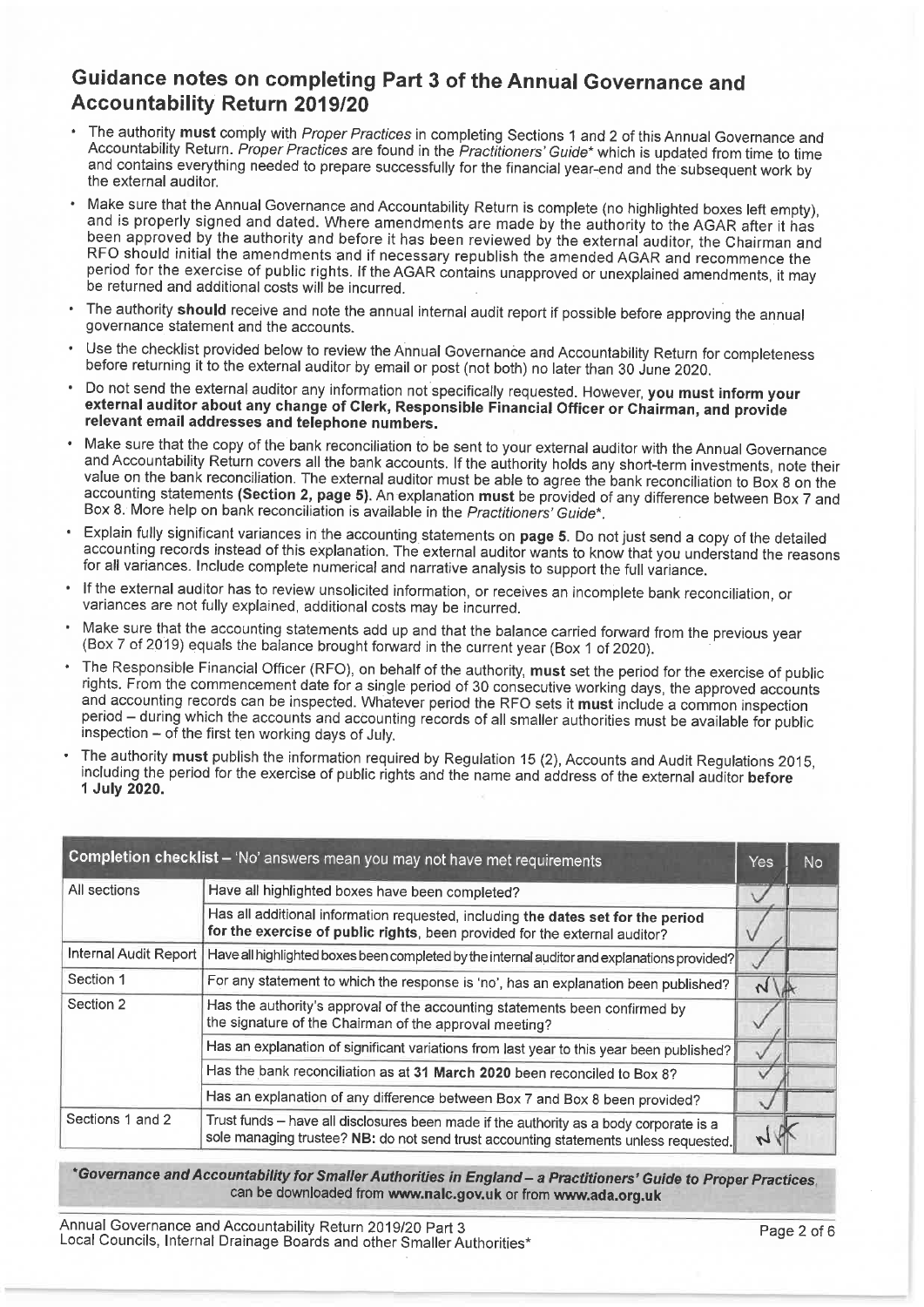#### Guidance notes on completing Part 3 of the Annual Governance and **Accountability Return 2019/20**

- The authority must comply with Proper Practices in completing Sections 1 and 2 of this Annual Governance and Accountability Return. Proper Practices are found in the Practitioners' Guide\* which is updated from time to time and contains everything needed to prepare successfully for the financial year-end and the subsequent work by the external auditor.
- Make sure that the Annual Governance and Accountability Return is complete (no highlighted boxes left empty), and is properly signed and dated. Where amendments are made by the authority to the AGAR after it has been approved by the authority and before it has been reviewed by the external auditor, the Chairman and RFO should initial the amendments and if necessary republish the amended AGAR and recommence the period for the exercise of public rights. If the AGAR contains unapproved or unexplained amendments, it may be returned and additional costs will be incurred.
- The authority should receive and note the annual internal audit report if possible before approving the annual governance statement and the accounts.
- Use the checklist provided below to review the Annual Governance and Accountability Return for completeness before returning it to the external auditor by email or post (not both) no later than 30 June 2020.
- Do not send the external auditor any information not specifically requested. However, you must inform your external auditor about any change of Clerk, Responsible Financial Officer or Chairman, and provide relevant email addresses and telephone numbers.
- Make sure that the copy of the bank reconciliation to be sent to your external auditor with the Annual Governance and Accountability Return covers all the bank accounts. If the authority holds any short-term investments, note their value on the bank reconciliation. The external auditor must be able to agree the bank reconciliation to Box 8 on the accounting statements (Section 2, page 5). An explanation must be provided of any difference between Box 7 and Box 8. More help on bank reconciliation is available in the Practitioners' Guide\*.
- Explain fully significant variances in the accounting statements on page 5. Do not just send a copy of the detailed accounting records instead of this explanation. The external auditor wants to know that you understand the reasons for all variances. Include complete numerical and narrative analysis to support the full variance.
- If the external auditor has to review unsolicited information, or receives an incomplete bank reconciliation, or variances are not fully explained, additional costs may be incurred.
- Make sure that the accounting statements add up and that the balance carried forward from the previous year (Box 7 of 2019) equals the balance brought forward in the current year (Box 1 of 2020).
- The Responsible Financial Officer (RFO), on behalf of the authority, must set the period for the exercise of public rights. From the commencement date for a single period of 30 consecutive working days, the approved accounts and accounting records can be inspected. Whatever period the RFO sets it must include a common inspection period – during which the accounts and accounting records of all smaller authorities must be available for public inspection – of the first ten working days of July.
- The authority must publish the information required by Regulation 15 (2), Accounts and Audit Regulations 2015, including the period for the exercise of public rights and the name and address of the external auditor before 1 July 2020.

| Completion checklist - 'No' answers mean you may not have met requirements |                                                                                                                                                                                |               | No |
|----------------------------------------------------------------------------|--------------------------------------------------------------------------------------------------------------------------------------------------------------------------------|---------------|----|
| All sections                                                               | Have all highlighted boxes have been completed?                                                                                                                                |               |    |
|                                                                            | Has all additional information requested, including the dates set for the period<br>for the exercise of public rights, been provided for the external auditor?                 |               |    |
| Internal Audit Report                                                      | Have all highlighted boxes been completed by the internal auditor and explanations provided?                                                                                   |               |    |
| Section 1                                                                  | For any statement to which the response is 'no', has an explanation been published?                                                                                            | $\mathcal{N}$ |    |
| Section 2                                                                  | Has the authority's approval of the accounting statements been confirmed by<br>the signature of the Chairman of the approval meeting?                                          |               |    |
|                                                                            | Has an explanation of significant variations from last year to this year been published?                                                                                       |               |    |
|                                                                            | Has the bank reconciliation as at 31 March 2020 been reconciled to Box 8?                                                                                                      |               |    |
|                                                                            | Has an explanation of any difference between Box 7 and Box 8 been provided?                                                                                                    |               |    |
| Sections 1 and 2                                                           | Trust funds - have all disclosures been made if the authority as a body corporate is a<br>sole managing trustee? NB: do not send trust accounting statements unless requested. |               |    |

#### \*Governance and Accountability for Smaller Authorities in England - a Practitioners' Guide to Proper Practices. can be downloaded from www.nalc.gov.uk or from www.ada.org.uk

Annual Governance and Accountability Return 2019/20 Part 3 Local Councils, Internal Drainage Boards and other Smaller Authorities\*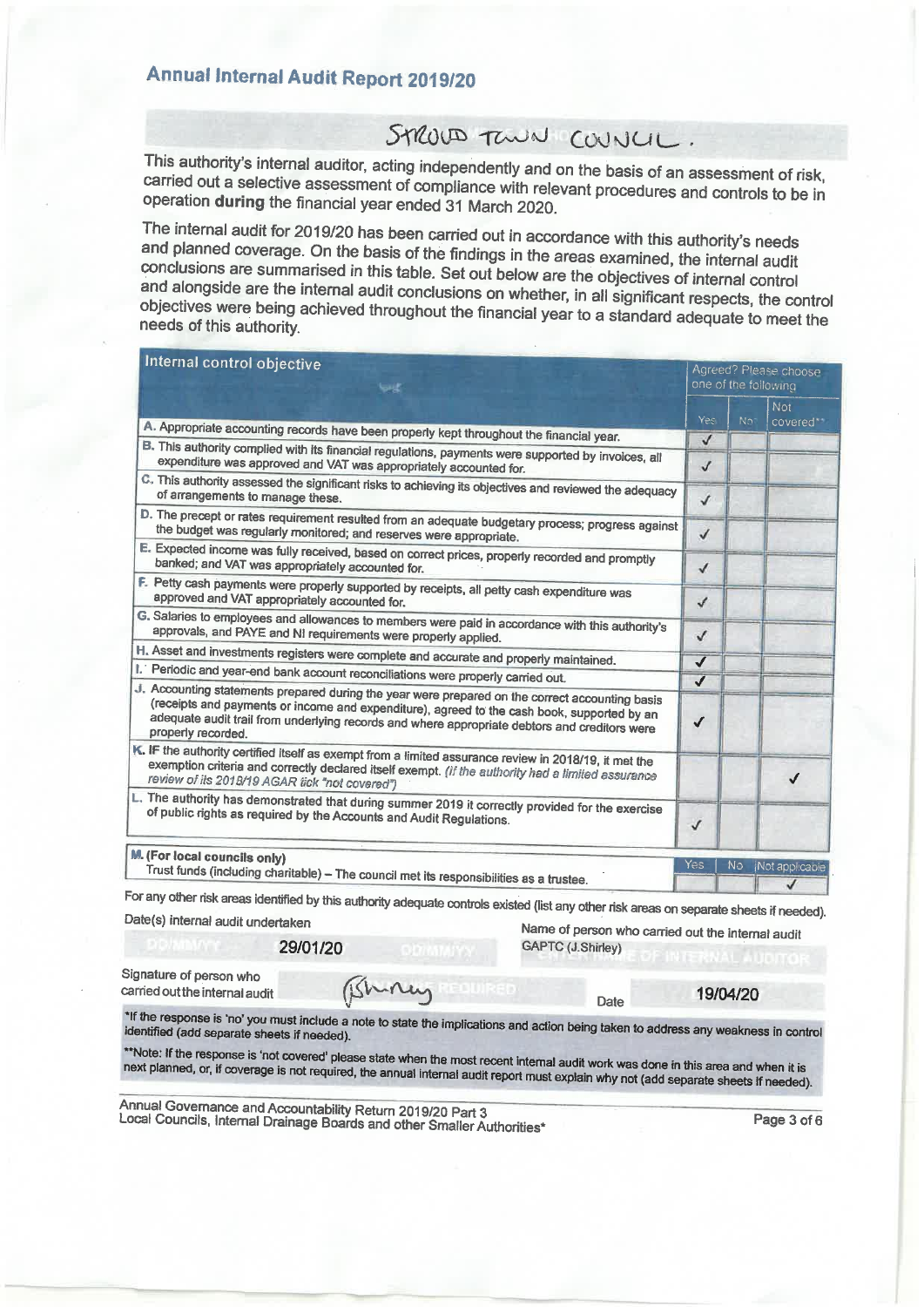## **Annual Internal Audit Report 2019/20**

## STROUD TOWN COUNCIL.

This authority's internal auditor, acting independently and on the basis of an assessment of risk, carried out a selective assessment of compliance with relevant procedures and controls to be in operation during the financial year ended 31 March 2020.

The internal audit for 2019/20 has been carried out in accordance with this authority's needs and planned coverage. On the basis of the findings in the areas examined, the internal audit conclusions are summarised in this table. Set out below are the objectives of internal control and alongside are the internal audit conclusions on whether, in all significant respects, the control objectives were being achieved throughout the financial year to a standard adequate to meet the needs of this authority.

| internal control objective<br><b>Suit</b>                                                                                                                                                                                                                                                                             |              | Agreed? Please choose<br>one of the following |                         |  |
|-----------------------------------------------------------------------------------------------------------------------------------------------------------------------------------------------------------------------------------------------------------------------------------------------------------------------|--------------|-----------------------------------------------|-------------------------|--|
|                                                                                                                                                                                                                                                                                                                       | Yes          | No <sup>1</sup>                               | <b>Not</b><br>covered** |  |
| A. Appropriate accounting records have been properly kept throughout the financial year.                                                                                                                                                                                                                              | $\checkmark$ |                                               |                         |  |
| B. This authority complied with its financial regulations, payments were supported by invoices, all<br>expenditure was approved and VAT was appropriately accounted for.                                                                                                                                              | $\checkmark$ |                                               |                         |  |
| C. This authority assessed the significant risks to achieving its objectives and reviewed the adequacy<br>of arrangements to manage these.                                                                                                                                                                            | $\checkmark$ |                                               |                         |  |
| D. The precept or rates requirement resulted from an adequate budgetary process; progress against<br>the budget was regularly monitored; and reserves were appropriate.                                                                                                                                               | $\checkmark$ |                                               |                         |  |
| E. Expected income was fully received, based on correct prices, properly recorded and promptly<br>banked; and VAT was appropriately accounted for.                                                                                                                                                                    | $\checkmark$ |                                               |                         |  |
| F. Petty cash payments were properly supported by receipts, all petty cash expenditure was<br>approved and VAT appropriately accounted for.                                                                                                                                                                           | $\checkmark$ |                                               |                         |  |
| G. Salaries to employees and allowances to members were paid in accordance with this authority's<br>approvals, and PAYE and NI requirements were properly applied.                                                                                                                                                    | $\checkmark$ |                                               |                         |  |
| H. Asset and investments registers were complete and accurate and properly maintained.                                                                                                                                                                                                                                | $\checkmark$ |                                               |                         |  |
| I. Periodic and year-end bank account reconciliations were properly carried out.                                                                                                                                                                                                                                      | $\checkmark$ |                                               |                         |  |
| J. Accounting statements prepared during the year were prepared on the correct accounting basis<br>(receipts and payments or income and expenditure), agreed to the cash book, supported by an<br>adequate audit trail from underlying records and where appropriate debtors and creditors were<br>properly recorded. | $\checkmark$ |                                               |                         |  |
| K. IF the authority certified itself as exempt from a limited assurance review in 2018/19, it met the<br>exemption criteria and correctly declared itself exempt. (If the authority had a limited assurance<br>review of its 2018/19 AGAR tick "not covered")                                                         |              |                                               | J                       |  |
| L. The authority has demonstrated that during summer 2019 it correctly provided for the exercise<br>of public rights as required by the Accounts and Audit Regulations.                                                                                                                                               | $\checkmark$ |                                               |                         |  |
| M. (For local councils only)<br>Trust funds (including charitable) - The council met its responsibilities as a trustee.                                                                                                                                                                                               | Yes          | No                                            | Not applicable          |  |
| for any other risk areas identified by this authority adequate controls existed (list any other risk areas on senarate sheets if needed)                                                                                                                                                                              |              |                                               | J                       |  |

Date(s) internal audit undertaken

29/01/20

Name of person who carried out the internal audit GAPTC (J.Shirley)

Date

Signature of person who carried out the internal audit

Bring

19/04/20

\*If the response is 'no' you must include a note to state the implications and action being taken to address any weakness in control identified (add separate sheets if needed).

\*\*Note: If the response is 'not covered' please state when the most recent internal audit work was done in this area and when it is next planned, or, if coverage is not required, the annual internal audit report must explain why not (add separate sheets if needed).

Annual Governance and Accountability Return 2019/20 Part 3 Local Councils, Internal Drainage Boards and other Smaller Authorities\*

Page 3 of 6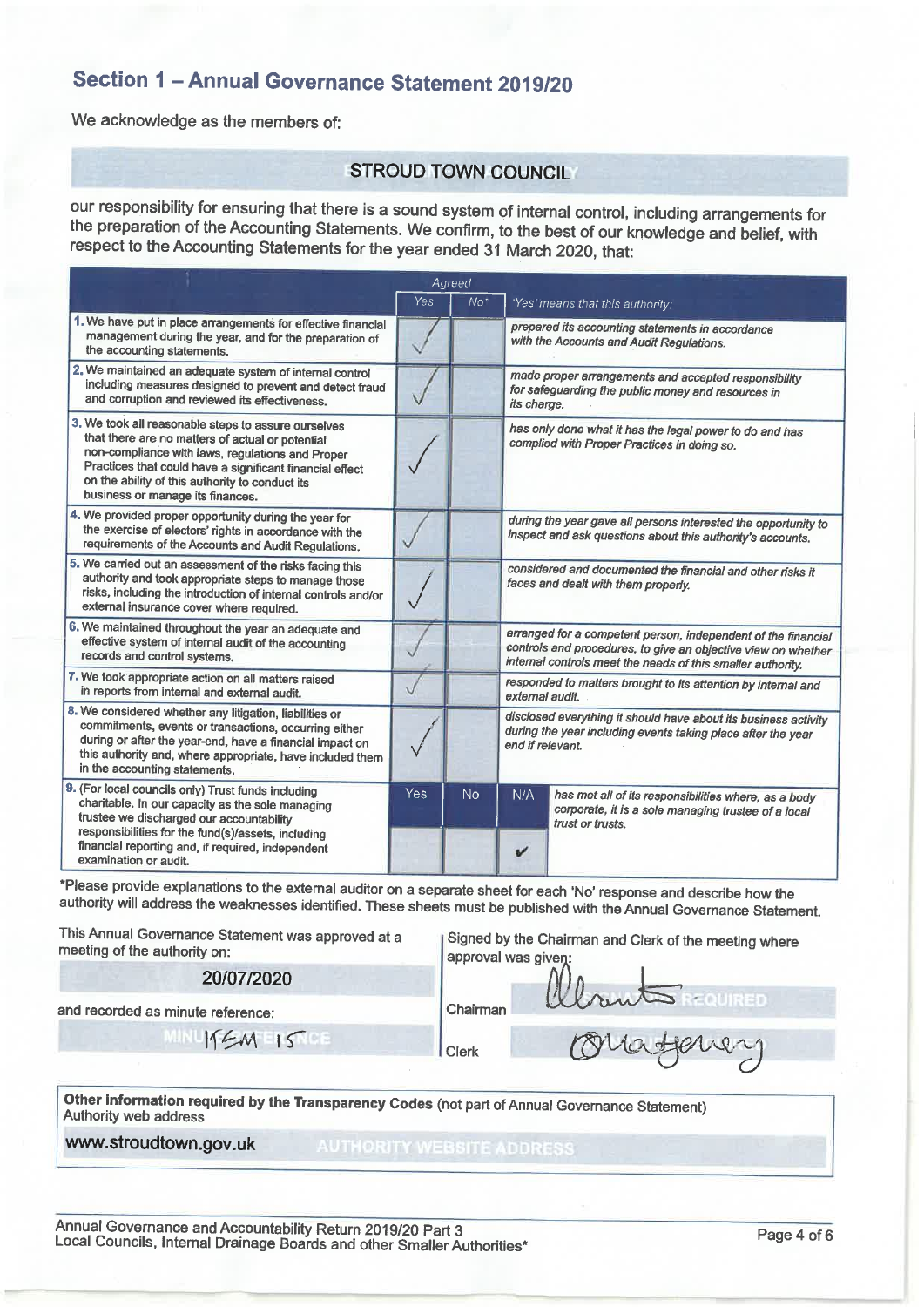### Section 1 - Annual Governance Statement 2019/20

We acknowledge as the members of:

#### **STROUD TOWN COUNCIL**

our responsibility for ensuring that there is a sound system of internal control, including arrangements for the preparation of the Accounting Statements. We confirm, to the best of our knowledge and belief, with respect to the Accounting Statements for the year ended 31 March 2020, that:

|                                                                                                                                                                                                                                                                                                                | Agreed |           |                                                                                                                                                                                               |                                                                                                                                 |  |
|----------------------------------------------------------------------------------------------------------------------------------------------------------------------------------------------------------------------------------------------------------------------------------------------------------------|--------|-----------|-----------------------------------------------------------------------------------------------------------------------------------------------------------------------------------------------|---------------------------------------------------------------------------------------------------------------------------------|--|
|                                                                                                                                                                                                                                                                                                                | Yes    | $No*$     |                                                                                                                                                                                               | 'Yes' means that this authority:                                                                                                |  |
| 1. We have put in place arrangements for effective financial<br>management during the year, and for the preparation of<br>the accounting statements.                                                                                                                                                           |        |           | prepared its accounting statements in accordance<br>with the Accounts and Audit Regulations.                                                                                                  |                                                                                                                                 |  |
| 2. We maintained an adequate system of internal control<br>including measures designed to prevent and detect fraud<br>and corruption and reviewed its effectiveness.                                                                                                                                           |        |           | made proper arrangements and accepted responsibility<br>for safeguarding the public money and resources in<br>its charge.                                                                     |                                                                                                                                 |  |
| 3. We took all reasonable steps to assure ourselves<br>that there are no matters of actual or potential<br>non-compliance with laws, regulations and Proper<br>Practices that could have a significant financial effect<br>on the ability of this authority to conduct its<br>business or manage its finances. |        |           | has only done what it has the legal power to do and has<br>complied with Proper Practices in doing so.                                                                                        |                                                                                                                                 |  |
| 4. We provided proper opportunity during the year for<br>the exercise of electors' rights in accordance with the<br>requirements of the Accounts and Audit Regulations.                                                                                                                                        |        |           | during the year gave all persons interested the opportunity to<br>inspect and ask questions about this authority's accounts.                                                                  |                                                                                                                                 |  |
| 5. We carried out an assessment of the risks facing this<br>authority and took appropriate steps to manage those<br>risks, including the introduction of internal controls and/or<br>external insurance cover where required.                                                                                  |        |           | considered and documented the financial and other risks it<br>faces and dealt with them properly.                                                                                             |                                                                                                                                 |  |
| 6. We maintained throughout the year an adequate and<br>effective system of internal audit of the accounting<br>records and control systems.                                                                                                                                                                   |        |           | arranged for a competent person, independent of the financial<br>controls and procedures, to give an objective view on whether<br>internal controls meet the needs of this smaller authority. |                                                                                                                                 |  |
| 7. We took appropriate action on all matters raised<br>in reports from internal and external audit.                                                                                                                                                                                                            |        |           | responded to matters brought to its attention by internal and<br>external audit.                                                                                                              |                                                                                                                                 |  |
| 8. We considered whether any litigation, liabilities or<br>commitments, events or transactions, occurring either<br>during or after the year-end, have a financial impact on<br>this authority and, where appropriate, have included them<br>in the accounting statements.                                     |        |           | disclosed everything it should have about its business activity<br>during the year including events taking place after the year<br>end if relevant.                                           |                                                                                                                                 |  |
| 9. (For local councils only) Trust funds including<br>charitable. In our capacity as the sole managing<br>trustee we discharged our accountability<br>responsibilities for the fund(s)/assets, including<br>financial reporting and, if required, independent<br>examination or audit.                         | Yes    | <b>No</b> | N/A<br>v                                                                                                                                                                                      | has met all of its responsibilities where, as a body<br>corporate, it is a sole managing trustee of a local<br>trust or trusts. |  |

\*Please provide explanations to the external auditor on a separate sheet for each 'No' response and describe how the authority will address the weaknesses identified. These sheets must be published with the Annual Governance Statement.

| This Annual Governance Statement was approved at a<br>meeting of the authority on:                                      | Signed by the Chairman and Clerk of the meeting where<br>approval was given: |  |  |  |
|-------------------------------------------------------------------------------------------------------------------------|------------------------------------------------------------------------------|--|--|--|
| 20/07/2020                                                                                                              | WhantsREQUIRED                                                               |  |  |  |
| and recorded as minute reference:                                                                                       | Chairman                                                                     |  |  |  |
| 15M15                                                                                                                   | Orraforing<br>Clerk                                                          |  |  |  |
| Other information required by the Transparency Codes (not part of Annual Governance Statement)<br>Authority web address |                                                                              |  |  |  |

www.stroudtown.gov.uk

**AUTHORITY WEBSITE ADDRESS**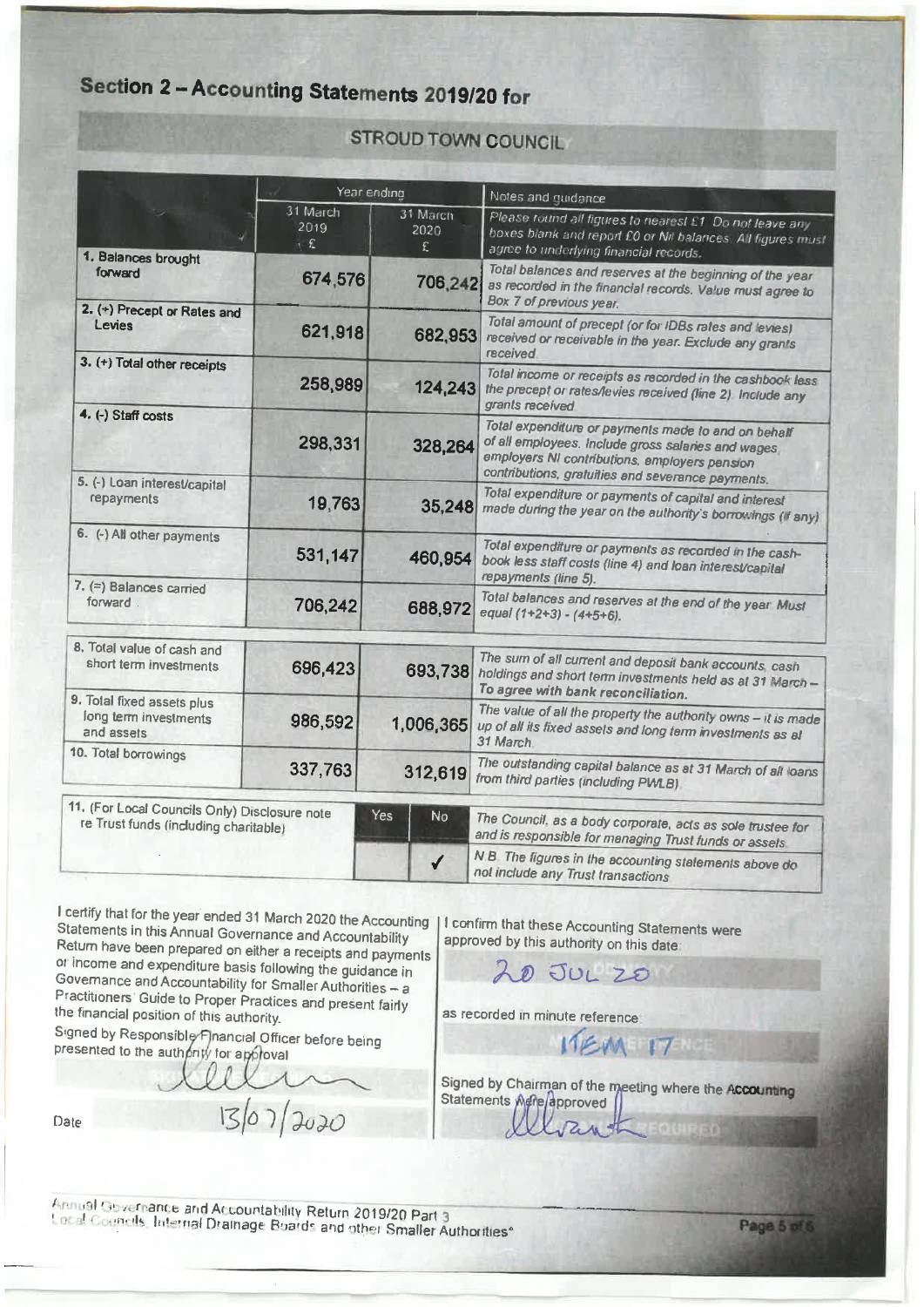# Section 2 - Accounting Statements 2019/20 for

|                                                                   | Year ending             |                       | Notes and nuidance                                                                                                                                                                                              |  |  |
|-------------------------------------------------------------------|-------------------------|-----------------------|-----------------------------------------------------------------------------------------------------------------------------------------------------------------------------------------------------------------|--|--|
| 1. Balances brought                                               | 31 March<br>2019<br>. f | 31 March<br>2020<br>£ | Please tound all figures to nearest £1. Do not leave any<br>hoxes blank and report £0 or Nil balances. All figures must<br>agree to underlying financial records.                                               |  |  |
| forward                                                           | 674,576                 | 706,242               | Total balances and reserves at the beginning of the year<br>as recorded in the financial records. Value must agree to<br>Box 7 of previous year.                                                                |  |  |
| 2. (+) Precept or Rates and<br>Levies                             | 621,918                 | 682,953               | Total amount of precept (or for IDBs rates and levies)<br>received or receivable in the year. Exclude any grants<br>received                                                                                    |  |  |
| 3. (+) Total other receipts                                       | 258,989                 | 124,243               | Total income or receipts as recorded in the cashbook less<br>the precept or rates/levies received (line 2) Include any<br>grants received                                                                       |  |  |
| 4. (-) Staff costs                                                | 298,331                 | 328,264               | Total expenditure or payments made to and on behalf<br>of all employees. Include gross salaries and wages<br>employers NI contributions, employers pension<br>contributions, gratuities and severance payments. |  |  |
| 5. (-) Loan interest/capital<br>repayments                        | 19,763                  | 35,248                | Total expenditure or payments of capital and interest<br>made during the year on the authority's borrowings (if any)                                                                                            |  |  |
| 6. (-) All other payments                                         | 531,147                 | 460,954               | Total expenditure or payments as recorded in the cash-<br>book less staff costs (line 4) and loan interest/capital<br>repayments (line 5).                                                                      |  |  |
| 7. $(=)$ Balances carried<br>forward                              | 706,242                 | 688,972               | Total balances and reserves at the end of the year Must<br>equal $(1+2+3) - (4+5+6)$ .                                                                                                                          |  |  |
| 8. Total value of cash and<br>short term investments              | 696,423                 | 693,738               | The sum of all current and deposit bank accounts, cash<br>holdings and short term investments held as at 31 March -<br>To agree with bank reconciliation.                                                       |  |  |
| 9. Total fixed assets plus<br>long term investments<br>and assets | 986,592                 | 1,006,365             | The value of all the property the authority owns - it is made.<br>up of all its fixed assets and long term investments as at<br>31 March.                                                                       |  |  |
| 10. Total borrowings                                              | 337,763                 | 312,619               | The outstanding capital balance as at 31 March of all loans                                                                                                                                                     |  |  |

**STROUD TOWN COUNCIL** 

from third parties (including PWLB). 11. (For Local Councils Only) Disclosure note The Council, as a body corporate, acts as sole trustee for Yes No re Trust funds (including charitable) and is responsible for managing Trust funds or assets N B The figures in the accounting statements above do  $\checkmark$ not include any Trust transactions

I certify that for the year ended 31 March 2020 the Accounting | Statements in this Annual Governance and Accountability Return have been prepared on either a receipts and payments or income and expenditure basis following the guidance in Governance and Accountability for Smaller Authorities - a Practitioners' Guide to Proper Practices and present fairly the financial position of this authority.

Signed by Responsible Financial Officer before being<br>presented to the authority for approval

Date

I confirm that these Accounting Statements were approved by this authority on this date

 $200125$ 

as recorded in minute reference.

**ITEM 17** 

Signed by Chairman of the meeting where the Accounting Statements Mene/approved Gurtan

Annual Governance and Accountability Return 2019/20 Part 3 Local Councils, Internal Drainage Boards and other Smaller Authorities\*

 $1307200$